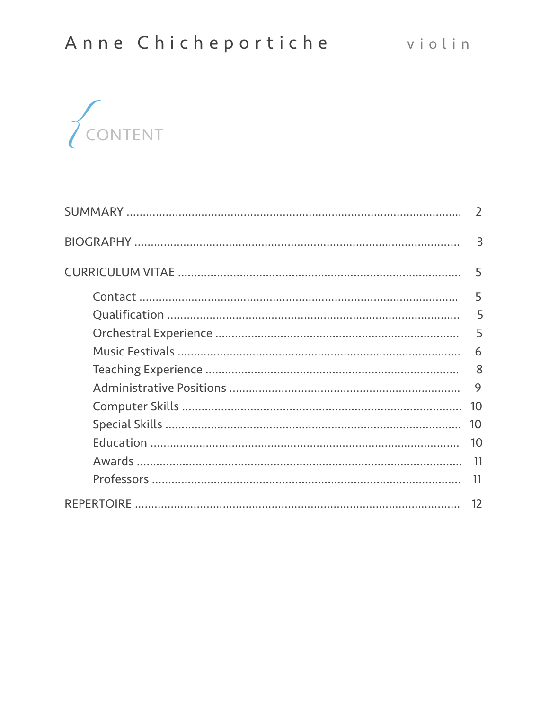

| $\overline{3}$ |
|----------------|
| 5              |
| 5              |
| 5              |
| 5              |
| 6              |
| 8              |
| 9              |
| 10             |
| 10             |
| 10             |
| 11             |
| 11             |
| 12             |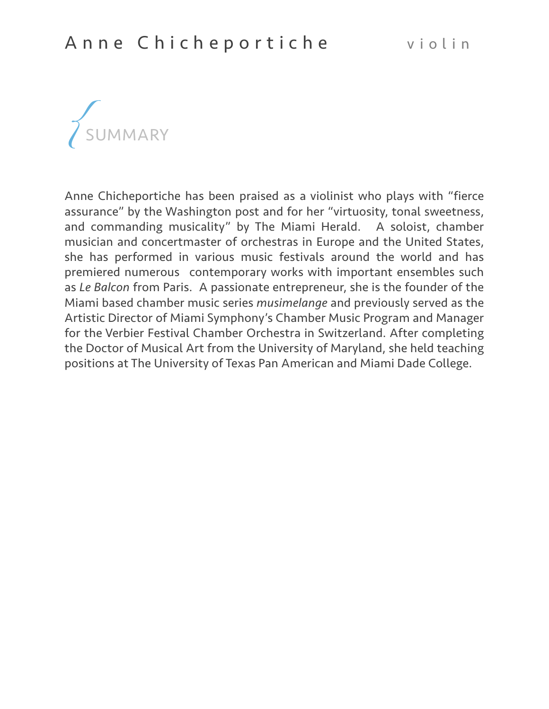

Anne Chicheportiche has been praised as a violinist who plays with "fierce assurance" by the Washington post and for her "virtuosity, tonal sweetness, and commanding musicality" by The Miami Herald. A soloist, chamber musician and concertmaster of orchestras in Europe and the United States, she has performed in various music festivals around the world and has premiered numerous contemporary works with important ensembles such as *Le Balcon* from Paris. A passionate entrepreneur, she is the founder of the Miami based chamber music series *musimelange* and previously served as the Artistic Director of Miami Symphony's Chamber Music Program and Manager for the Verbier Festival Chamber Orchestra in Switzerland. After completing the Doctor of Musical Art from the University of Maryland, she held teaching positions at The University of Texas Pan American and Miami Dade College.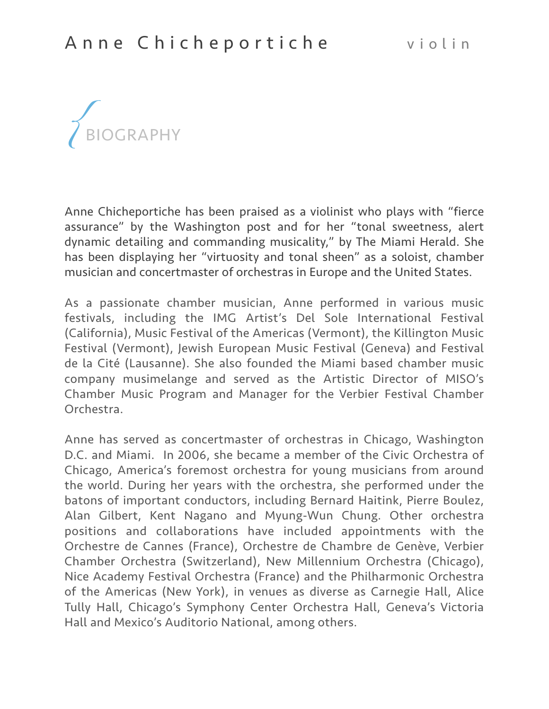

Anne Chicheportiche has been praised as a violinist who plays with "fierce assurance" by the Washington post and for her "tonal sweetness, alert dynamic detailing and commanding musicality," by The Miami Herald. She has been displaying her "virtuosity and tonal sheen" as a soloist, chamber musician and concertmaster of orchestras in Europe and the United States.

As a passionate chamber musician, Anne performed in various music festivals, including the IMG Artist's Del Sole International Festival (California), Music Festival of the Americas (Vermont), the Killington Music Festival (Vermont), Jewish European Music Festival (Geneva) and Festival de la Cité (Lausanne). She also founded the Miami based chamber music company musimelange and served as the Artistic Director of MISO's Chamber Music Program and Manager for the Verbier Festival Chamber Orchestra.

Anne has served as concertmaster of orchestras in Chicago, Washington D.C. and Miami. In 2006, she became a member of the Civic Orchestra of Chicago, America's foremost orchestra for young musicians from around the world. During her years with the orchestra, she performed under the batons of important conductors, including Bernard Haitink, Pierre Boulez, Alan Gilbert, Kent Nagano and Myung-Wun Chung. Other orchestra positions and collaborations have included appointments with the Orchestre de Cannes (France), Orchestre de Chambre de Genève, Verbier Chamber Orchestra (Switzerland), New Millennium Orchestra (Chicago), Nice Academy Festival Orchestra (France) and the Philharmonic Orchestra of the Americas (New York), in venues as diverse as Carnegie Hall, Alice Tully Hall, Chicago's Symphony Center Orchestra Hall, Geneva's Victoria Hall and Mexico's Auditorio National, among others.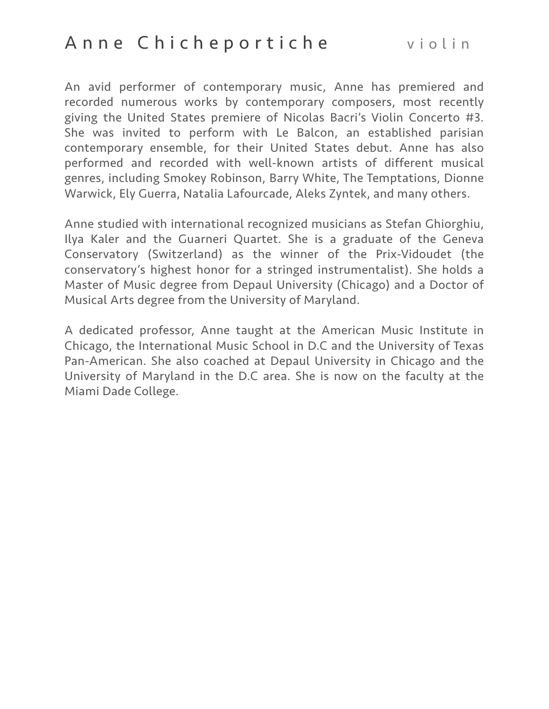An avid performer of contemporary music, Anne has premiered and recorded numerous works by contemporary composers, most recently giving the United States premiere of Nicolas Bacri's Violin Concerto #3. She was invited to perform with Le Balcon, an established parisian contemporary ensemble, for their United States debut. Anne has also performed and recorded with well-known artists of different musical genres, including Smokey Robinson, Barry White, The Temptations, Dionne Warwick, Ely Guerra, Natalia Lafourcade, Aleks Zyntek, and many others.

Anne studied with international recognized musicians as Stefan Ghiorghiu, Ilya Kaler and the Guarneri Quartet. She is a graduate of the Geneva Conservatory (Switzerland) as the winner of the Prix-Vidoudet (the conservatory's highest honor for a stringed instrumentalist). She holds a Master of Music degree from Depaul University (Chicago) and a Doctor of Musical Arts degree from the University of Maryland.

A dedicated professor, Anne taught at the American Music Institute in Chicago, the International Music School in D.C and the University of Texas Pan-American. She also coached at Depaul University in Chicago and the University of Maryland in the D.C area. She is now on the faculty at the Miami Dade College.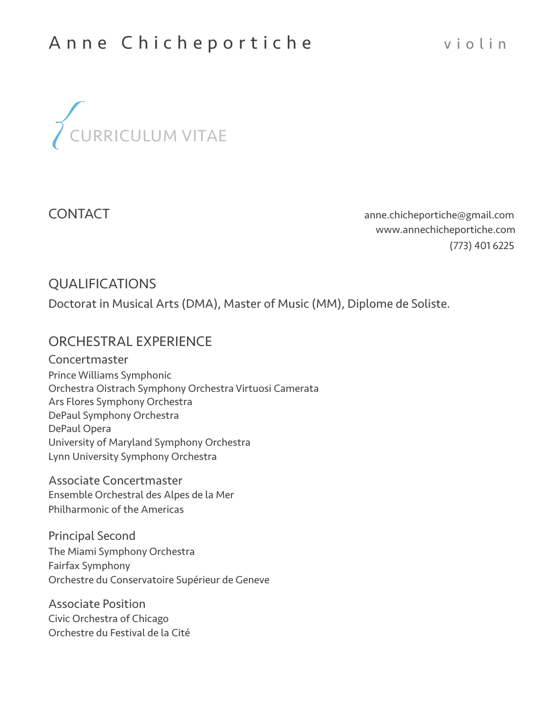

CONTACT [anne.chicheportiche@gmail.com](mailto:anne.chicheportiche@gmail.com) [www.annechicheportiche.com](http://www.annechicheportiche.com) (773) 401 6225

## QUALIFICATIONS

Doctorat in Musical Arts (DMA), Master of Music (MM), Diplome de Soliste.

## ORCHESTRAL EXPERIENCE

Concertmaster Prince Williams Symphonic Orchestra Oistrach Symphony Orchestra Virtuosi Camerata Ars Flores Symphony Orchestra DePaul Symphony Orchestra DePaul Opera University of Maryland Symphony Orchestra Lynn University Symphony Orchestra

Associate Concertmaster Ensemble Orchestral des Alpes de la Mer Philharmonic of the Americas

Principal Second The Miami Symphony Orchestra Fairfax Symphony Orchestre du Conservatoire Supérieur de Geneve

Associate Position Civic Orchestra of Chicago Orchestre du Festival de la Cité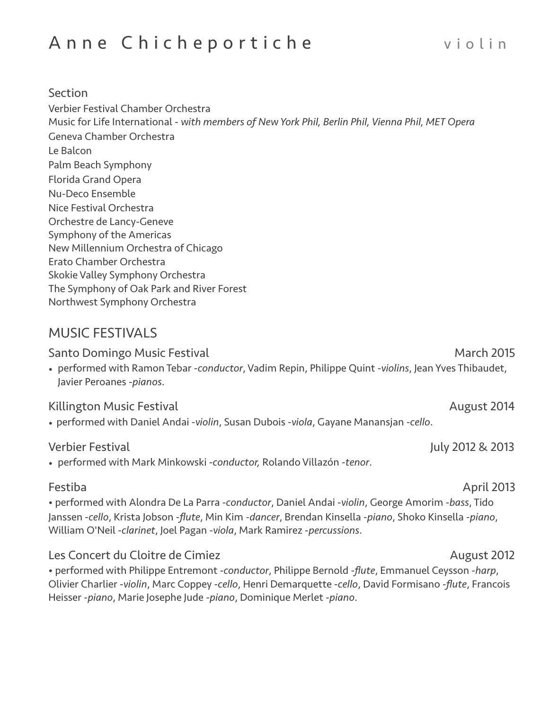#### **Section**

Verbier Festival Chamber Orchestra Music for Life International - *with members of New York Phil, Berlin Phil, Vienna Phil, MET Opera* Geneva Chamber Orchestra Le Balcon Palm Beach Symphony Florida Grand Opera Nu-Deco Ensemble Nice Festival Orchestra Orchestre de Lancy-Geneve Symphony of the Americas New Millennium Orchestra of Chicago Erato Chamber Orchestra Skokie Valley Symphony Orchestra The Symphony of Oak Park and River Forest Northwest Symphony Orchestra

# MUSIC FESTIVALS

Santo Domingo Music Festival March 2015

• performed with Ramon Tebar -*conductor*, Vadim Repin, Philippe Quint -*violins*, Jean Yves Thibaudet, Javier Peroanes -*pianos*.

#### Killington Music Festival August 2014

• performed with Daniel Andai -*violin*, Susan Dubois -*viola*, Gayane Manansjan -*cello*.

#### Verbier Festival July 2012 & 2013

• performed with Mark Minkowski -*conductor,* Rolando Villazón -*tenor*.

• performed with Alondra De La Parra -*conductor*, Daniel Andai -*violin*, George Amorim -*bass*, Tido Janssen -*cello*, Krista Jobson -*flute*, Min Kim *-dancer*, Brendan Kinsella -*piano*, Shoko Kinsella -*piano*, William O'Neil -*clarinet*, Joel Pagan -*viola*, Mark Ramirez -*percussions*.

## Les Concert du Cloitre de Cimiez de Concert du Cloitre de Cimiez de la concert du 2012

• performed with Philippe Entremont -*conductor*, Philippe Bernold -*flute*, Emmanuel Ceysson -*harp*, Olivier Charlier -*violin*, Marc Coppey -*cello*, Henri Demarquette -*cello*, David Formisano -*flute*, Francois Heisser -*piano*, Marie Josephe Jude -*piano*, Dominique Merlet -*piano*.

## Festiba April 2013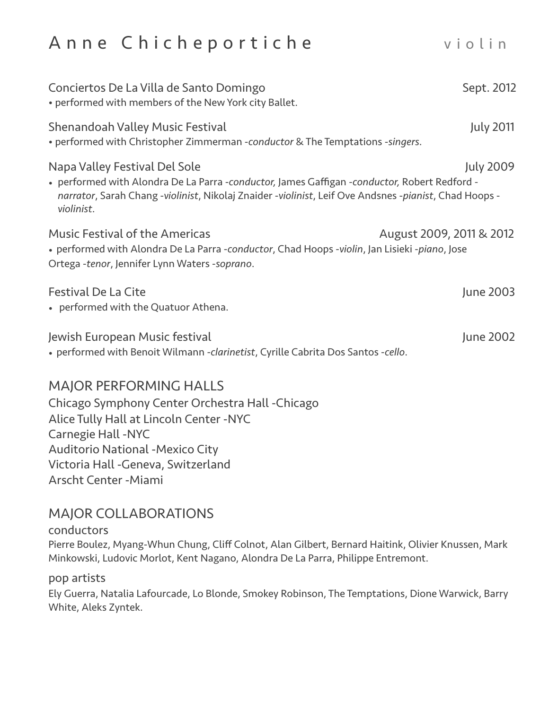| Conciertos De La Villa de Santo Domingo<br>• performed with members of the New York city Ballet.                                                                                                                                                     | Sept. 2012               |
|------------------------------------------------------------------------------------------------------------------------------------------------------------------------------------------------------------------------------------------------------|--------------------------|
| <b>Shenandoah Valley Music Festival</b><br>• performed with Christopher Zimmerman -conductor & The Temptations -singers.                                                                                                                             | <b>July 2011</b>         |
| Napa Valley Festival Del Sole<br>• performed with Alondra De La Parra -conductor, James Gaffigan -conductor, Robert Redford -<br>narrator, Sarah Chang -violinist, Nikolaj Znaider -violinist, Leif Ove Andsnes -pianist, Chad Hoops -<br>violinist. | <b>July 2009</b>         |
| <b>Music Festival of the Americas</b><br>• performed with Alondra De La Parra -conductor, Chad Hoops -violin, Jan Lisieki -piano, Jose<br>Ortega -tenor, Jennifer Lynn Waters -soprano.                                                              | August 2009, 2011 & 2012 |
| <b>Festival De La Cite</b><br>• performed with the Quatuor Athena.                                                                                                                                                                                   | June 2003                |
| Jewish European Music festival<br>. performed with Benoit Wilmann -clarinetist, Cyrille Cabrita Dos Santos -cello.                                                                                                                                   | June 2002                |
| MAIOR PEREORMING HALLS                                                                                                                                                                                                                               |                          |

#### MAJOR PERFORMING HALLS

Chicago Symphony Center Orchestra Hall -Chicago Alice Tully Hall at Lincoln Center -NYC Carnegie Hall -NYC Auditorio National -Mexico City Victoria Hall -Geneva, Switzerland Arscht Center -Miami

## MAJOR COLLABORATIONS

#### conductors

Pierre Boulez, Myang-Whun Chung, Cliff Colnot, Alan Gilbert, Bernard Haitink, Olivier Knussen, Mark Minkowski, Ludovic Morlot, Kent Nagano, Alondra De La Parra, Philippe Entremont.

#### pop artists

Ely Guerra, Natalia Lafourcade, Lo Blonde, Smokey Robinson, The Temptations, Dione Warwick, Barry White, Aleks Zyntek.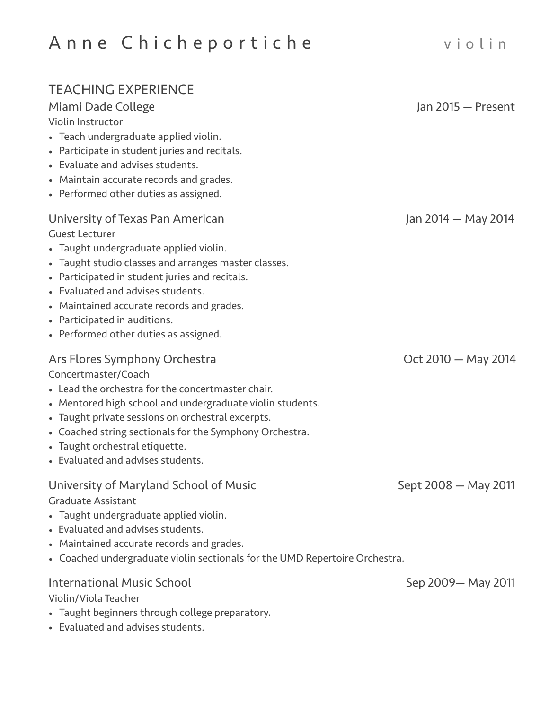# TEACHING EXPERIENCE

# Miami Dade College Jan 2015 — Present

Violin Instructor

- Teach undergraduate applied violin.
- Participate in student juries and recitals.
- Evaluate and advises students.
- Maintain accurate records and grades.
- Performed other duties as assigned.

# University of Texas Pan American Jan 2014 – May 2014

Guest Lecturer

- Taught undergraduate applied violin.
- Taught studio classes and arranges master classes.
- Participated in student juries and recitals.
- Evaluated and advises students.
- Maintained accurate records and grades.
- Participated in auditions.
- Performed other duties as assigned.

### Ars Flores Symphony Orchestra **Canadian Control 10 and 2014** Oct 2010 – May 2014

#### Concertmaster/Coach

- Lead the orchestra for the concertmaster chair.
- Mentored high school and undergraduate violin students.
- Taught private sessions on orchestral excerpts.
- Coached string sectionals for the Symphony Orchestra.
- Taught orchestral etiquette.
- Evaluated and advises students.

# University of Maryland School of Music Sept 2008 – May 2011

Graduate Assistant

- Taught undergraduate applied violin.
- Evaluated and advises students.
- Maintained accurate records and grades.
- Coached undergraduate violin sectionals for the UMD Repertoire Orchestra.

#### International Music School **Sep 2009** May 2011 Violin/Viola Teacher

- Taught beginners through college preparatory.
- Evaluated and advises students.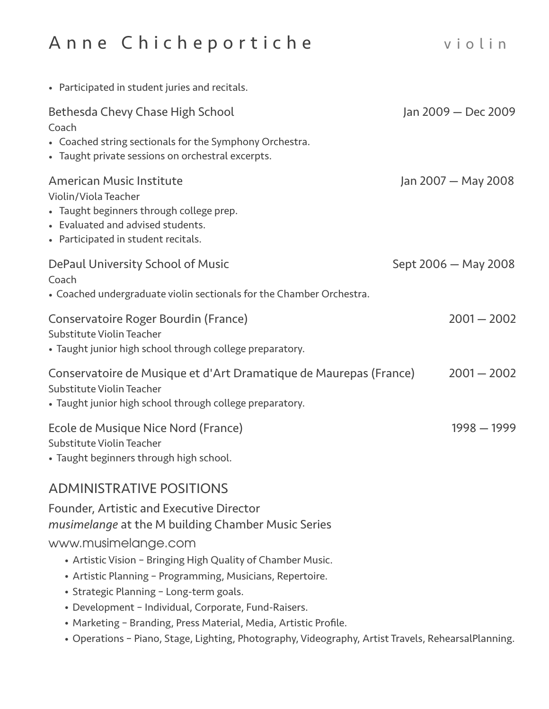| Jan 2009 - Dec 2009                                                                                 |
|-----------------------------------------------------------------------------------------------------|
|                                                                                                     |
| Jan 2007 - May 2008                                                                                 |
| Sept 2006 - May 2008                                                                                |
| $2001 - 2002$                                                                                       |
| Conservatoire de Musique et d'Art Dramatique de Maurepas (France)<br>$2001 - 2002$                  |
| $1998 - 1999$                                                                                       |
|                                                                                                     |
|                                                                                                     |
| • Operations - Piano, Stage, Lighting, Photography, Videography, Artist Travels, RehearsalPlanning. |
|                                                                                                     |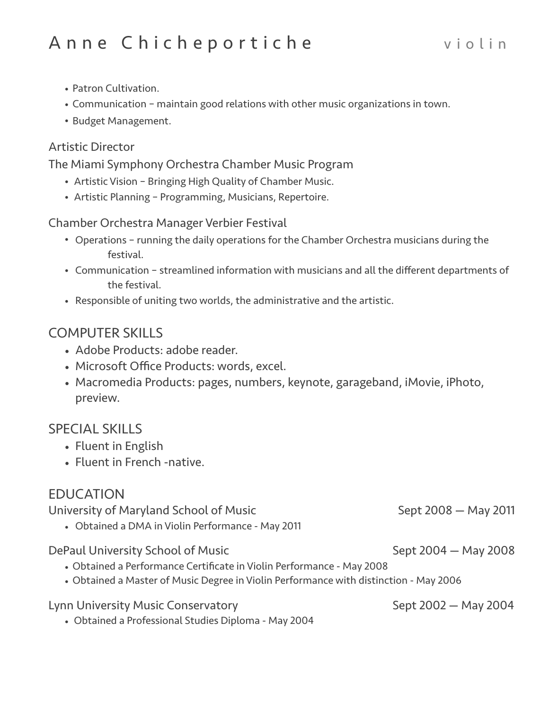- Patron Cultivation.
- Communication maintain good relations with other music organizations in town.
- Budget Management.

### Artistic Director

The Miami Symphony Orchestra Chamber Music Program

- Artistic Vision Bringing High Quality of Chamber Music.
- Artistic Planning Programming, Musicians, Repertoire.

Chamber Orchestra Manager Verbier Festival

- Operations running the daily operations for the Chamber Orchestra musicians during the festival.
- Communication streamlined information with musicians and all the different departments of the festival.
- Responsible of uniting two worlds, the administrative and the artistic.

# COMPUTER SKILLS

- Adobe Products: adobe reader.
- Microsoft Office Products: words, excel.
- Macromedia Products: pages, numbers, keynote, garageband, iMovie, iPhoto, preview.

## SPECIAL SKILLS

- Fluent in English
- Fluent in French -native.

# EDUCATION

University of Maryland School of Music Sept 2008 - May 2011 • Obtained a DMA in Violin Performance - May 2011 DePaul University School of Music Sept 2004 — May 2008 • Obtained a Performance Certificate in Violin Performance - May 2008 • Obtained a Master of Music Degree in Violin Performance with distinction - May 2006 Lynn University Music Conservatory Sept 2002 - May 2004 • Obtained a Professional Studies Diploma - May 2004